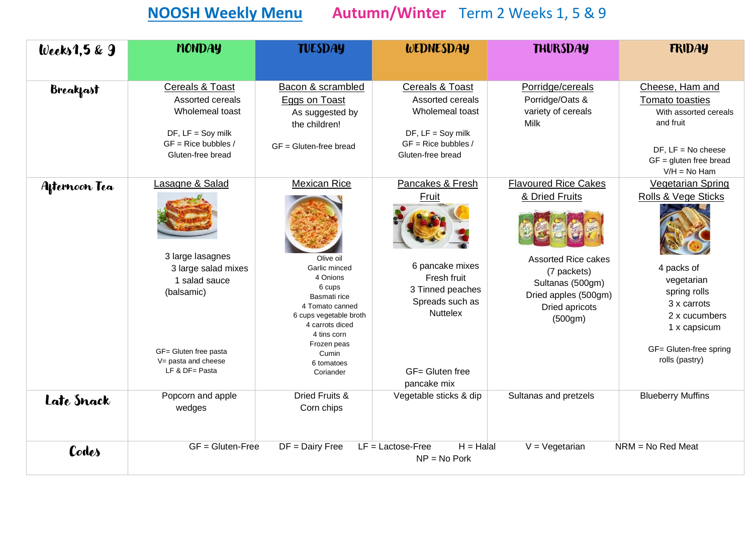## **NOOSH Weekly Menu Autumn/Winter** Term 2 Weeks 1, 5 & 9

| Weeks $1,5 & 9$  | <b>MONDAY</b>                                                                                                                                                  | <b>TUESDAY</b>                                                                                                                                                                                                            | WEDNESDAY                                                                                                                                               | <b>THURSDAY</b>                                                                                                                                                     | <b>FRIDAY</b>                                                                                                                                                                           |
|------------------|----------------------------------------------------------------------------------------------------------------------------------------------------------------|---------------------------------------------------------------------------------------------------------------------------------------------------------------------------------------------------------------------------|---------------------------------------------------------------------------------------------------------------------------------------------------------|---------------------------------------------------------------------------------------------------------------------------------------------------------------------|-----------------------------------------------------------------------------------------------------------------------------------------------------------------------------------------|
| <b>Breakfast</b> | <b>Cereals &amp; Toast</b><br>Assorted cereals<br>Wholemeal toast<br>$DF, LF =$ Soy milk<br>$GF = Rice$ bubbles /<br>Gluten-free bread                         | Bacon & scrambled<br>Eggs on Toast<br>As suggested by<br>the children!<br>$GF = Gluten-free bread$                                                                                                                        | <b>Cereals &amp; Toast</b><br>Assorted cereals<br>Wholemeal toast<br>$DF, LF =$ Soy milk<br>$GF = Rice$ bubbles /<br>Gluten-free bread                  | Porridge/cereals<br>Porridge/Oats &<br>variety of cereals<br><b>Milk</b>                                                                                            | Cheese, Ham and<br>Tomato toasties<br>With assorted cereals<br>and fruit<br>$DF$ , $LF = No$ cheese<br>$GF =$ gluten free bread<br>$V/H = No Ham$                                       |
| Afternoon Tea    | Lasagne & Salad<br>3 large lasagnes<br>3 large salad mixes<br>1 salad sauce<br>(balsamic)<br>GF= Gluten free pasta<br>V= pasta and cheese<br>LF & $DF =$ Pasta | <b>Mexican Rice</b><br>Olive oil<br>Garlic minced<br>4 Onions<br>6 cups<br>Basmati rice<br>4 Tomato canned<br>6 cups vegetable broth<br>4 carrots diced<br>4 tins corn<br>Frozen peas<br>Cumin<br>6 tomatoes<br>Coriander | Pancakes & Fresh<br>Fruit<br>6 pancake mixes<br>Fresh fruit<br>3 Tinned peaches<br>Spreads such as<br><b>Nuttelex</b><br>GF= Gluten free<br>pancake mix | <b>Flavoured Rice Cakes</b><br>& Dried Fruits<br><b>Assorted Rice cakes</b><br>(7 packets)<br>Sultanas (500gm)<br>Dried apples (500gm)<br>Dried apricots<br>(500gm) | <b>Vegetarian Spring</b><br>Rolls & Vege Sticks<br>4 packs of<br>vegetarian<br>spring rolls<br>3 x carrots<br>2 x cucumbers<br>1 x capsicum<br>GF= Gluten-free spring<br>rolls (pastry) |
| Late Snack       | Popcorn and apple<br>wedges                                                                                                                                    | <b>Dried Fruits &amp;</b><br>Corn chips                                                                                                                                                                                   | Vegetable sticks & dip                                                                                                                                  | Sultanas and pretzels                                                                                                                                               | <b>Blueberry Muffins</b>                                                                                                                                                                |
| Codes            | $GF = Gluten-Free$                                                                                                                                             | $DF =$ Dairy Free                                                                                                                                                                                                         | $LF = Lactose-Free$<br>$H = H$ alal<br>$NP = No$ Pork                                                                                                   | $V = V$ egetarian                                                                                                                                                   | $NRM = No$ Red Meat                                                                                                                                                                     |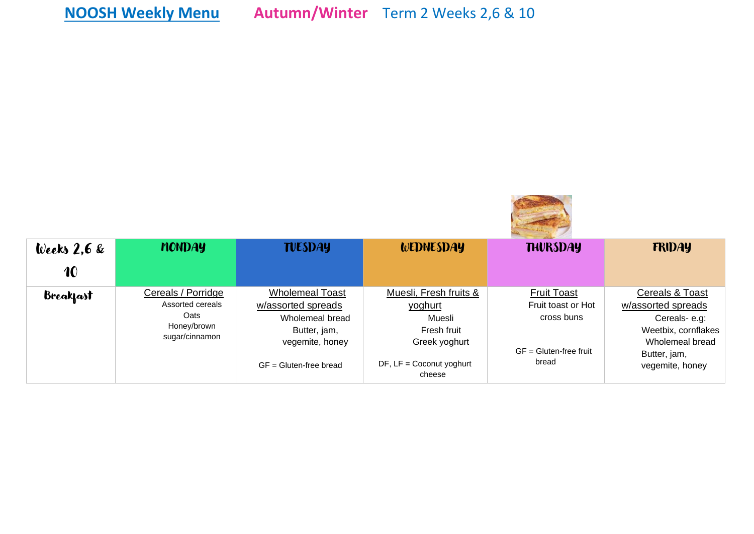| Weeks $2,6$ &    | <b>MONDAY</b>                                                                          | <b>TUESDAY</b>                                                                                                                 | <b>WEDNESDAY</b>                                                                                                    | <b>THURSDAY</b>                                                                             | <b>FRIDAY</b>                                                                                                                      |
|------------------|----------------------------------------------------------------------------------------|--------------------------------------------------------------------------------------------------------------------------------|---------------------------------------------------------------------------------------------------------------------|---------------------------------------------------------------------------------------------|------------------------------------------------------------------------------------------------------------------------------------|
| 10               |                                                                                        |                                                                                                                                |                                                                                                                     |                                                                                             |                                                                                                                                    |
| <b>Breakfast</b> | Cereals / Porridge<br>Assorted cereals<br><b>Oats</b><br>Honey/brown<br>sugar/cinnamon | <b>Wholemeal Toast</b><br>w/assorted spreads<br>Wholemeal bread<br>Butter, jam,<br>vegemite, honey<br>$GF = Gluten-free bread$ | Muesli, Fresh fruits &<br>yoghurt<br>Muesli<br>Fresh fruit<br>Greek yoghurt<br>$DF, LF = Coconvt yoghurt$<br>cheese | <b>Fruit Toast</b><br>Fruit toast or Hot<br>cross buns<br>$GF = Gluten-free fruit$<br>bread | Cereals & Toast<br>w/assorted spreads<br>Cereals-e.g:<br>Weetbix, cornflakes<br>Wholemeal bread<br>Butter, jam,<br>vegemite, honey |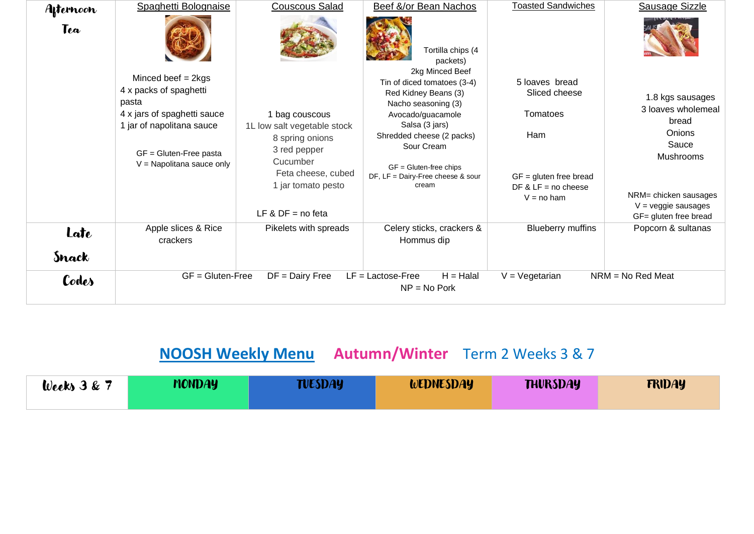| Afternoon | Spaghetti Bolognaise                                                                                                                                                            | <b>Couscous Salad</b>                                                                                                                                           | Beef &/or Bean Nachos                                                                                                                                                                                                                                     | <b>Toasted Sandwiches</b>                                                                                               | Sausage Sizzle                                                                                                                                                    |
|-----------|---------------------------------------------------------------------------------------------------------------------------------------------------------------------------------|-----------------------------------------------------------------------------------------------------------------------------------------------------------------|-----------------------------------------------------------------------------------------------------------------------------------------------------------------------------------------------------------------------------------------------------------|-------------------------------------------------------------------------------------------------------------------------|-------------------------------------------------------------------------------------------------------------------------------------------------------------------|
| Tea       |                                                                                                                                                                                 |                                                                                                                                                                 | Tortilla chips (4<br>packets)                                                                                                                                                                                                                             |                                                                                                                         |                                                                                                                                                                   |
|           | Minced beef $= 2kgs$<br>4 x packs of spaghetti<br>pasta<br>4 x jars of spaghetti sauce<br>1 jar of napolitana sauce<br>$GF = Gluten$ -Free pasta<br>$V =$ Napolitana sauce only | 1 bag couscous<br>1L low salt vegetable stock<br>8 spring onions<br>3 red pepper<br>Cucumber<br>Feta cheese, cubed<br>1 jar tomato pesto<br>LF & $DF = no feta$ | 2kg Minced Beef<br>Tin of diced tomatoes (3-4)<br>Red Kidney Beans (3)<br>Nacho seasoning (3)<br>Avocado/guacamole<br>Salsa (3 jars)<br>Shredded cheese (2 packs)<br>Sour Cream<br>$GF = Gluten-free chips$<br>DF, LF = Dairy-Free cheese & sour<br>cream | 5 loaves bread<br>Sliced cheese<br>Tomatoes<br>Ham<br>$GF =$ gluten free bread<br>DF & $LF = no$ cheese<br>$V = no ham$ | 1.8 kgs sausages<br>3 loaves wholemeal<br>bread<br>Onions<br>Sauce<br>Mushrooms<br>NRM= chicken sausages<br>$V = \text{veggie}$ sausages<br>GF= gluten free bread |
| Late      | Apple slices & Rice<br>crackers                                                                                                                                                 | Pikelets with spreads                                                                                                                                           | Celery sticks, crackers &<br>Hommus dip                                                                                                                                                                                                                   | <b>Blueberry muffins</b>                                                                                                | Popcorn & sultanas                                                                                                                                                |
| Snack     |                                                                                                                                                                                 |                                                                                                                                                                 |                                                                                                                                                                                                                                                           |                                                                                                                         |                                                                                                                                                                   |
| Codes     | $GF = Gluten-Free$                                                                                                                                                              | $DF =$ Dairy Free                                                                                                                                               | $H = Halal$<br>$LF = Lactose-Free$<br>$NP = No$ Pork                                                                                                                                                                                                      | $V = V$ egetarian                                                                                                       | $NRM = No Red Meat$                                                                                                                                               |

## **NOOSH Weekly Menu Autumn/Winter** Term 2 Weeks 3 & 7

| Weeks $3 & 7$ | <b>MONDAY</b> | TUESDAY | WEDNESDAY | <b>THURSDAY</b> | <b>FRIDAY</b> |
|---------------|---------------|---------|-----------|-----------------|---------------|
|               |               |         |           |                 |               |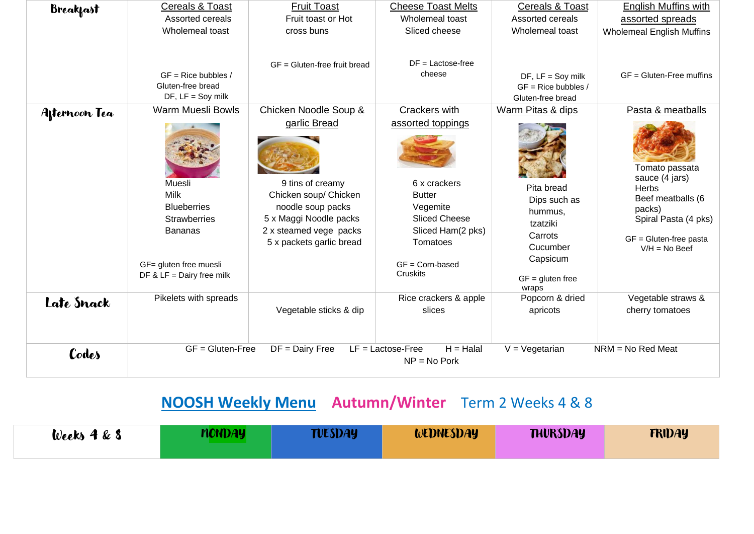| <b>Breakfast</b> | <b>Cereals &amp; Toast</b>                                                                                                             | <b>Fruit Toast</b>                                                                                                                                             | <b>Cheese Toast Melts</b>                                                                                                                                | <b>Cereals &amp; Toast</b>                                                                                          | <b>English Muffins with</b>                                                                                                                          |
|------------------|----------------------------------------------------------------------------------------------------------------------------------------|----------------------------------------------------------------------------------------------------------------------------------------------------------------|----------------------------------------------------------------------------------------------------------------------------------------------------------|---------------------------------------------------------------------------------------------------------------------|------------------------------------------------------------------------------------------------------------------------------------------------------|
|                  | Assorted cereals                                                                                                                       | Fruit toast or Hot                                                                                                                                             | Wholemeal toast                                                                                                                                          | Assorted cereals                                                                                                    | assorted spreads                                                                                                                                     |
|                  | Wholemeal toast                                                                                                                        | cross buns                                                                                                                                                     | Sliced cheese                                                                                                                                            | Wholemeal toast                                                                                                     | <b>Wholemeal English Muffins</b>                                                                                                                     |
|                  | $GF = Rice$ bubbles /<br>Gluten-free bread<br>$DF, LF =$ Soy milk                                                                      | $GF = Gluten-free fruit breed$                                                                                                                                 | $DF = Lactose-free$<br>cheese                                                                                                                            | $DF, LF =$ Soy milk<br>$GF = Rice$ bubbles /<br>Gluten-free bread                                                   | $GF = Gluten$ -Free muffins                                                                                                                          |
| Afternoon Tea    | Warm Muesli Bowls                                                                                                                      | Chicken Noodle Soup &                                                                                                                                          | Crackers with                                                                                                                                            | Warm Pitas & dips                                                                                                   | Pasta & meatballs                                                                                                                                    |
|                  | Muesli<br>Milk<br><b>Blueberries</b><br><b>Strawberries</b><br><b>Bananas</b><br>GF= gluten free muesli<br>DF & $LF =$ Dairy free milk | garlic Bread<br>9 tins of creamy<br>Chicken soup/ Chicken<br>noodle soup packs<br>5 x Maggi Noodle packs<br>2 x steamed vege packs<br>5 x packets garlic bread | assorted toppings<br>6 x crackers<br><b>Butter</b><br>Vegemite<br><b>Sliced Cheese</b><br>Sliced Ham(2 pks)<br>Tomatoes<br>$GF = Corn-based$<br>Cruskits | Pita bread<br>Dips such as<br>hummus,<br>tzatziki<br>Carrots<br>Cucumber<br>Capsicum<br>$GF = gluten free$<br>wraps | Tomato passata<br>sauce (4 jars)<br><b>Herbs</b><br>Beef meatballs (6<br>packs)<br>Spiral Pasta (4 pks)<br>GF = Gluten-free pasta<br>$V/H = No$ Beef |
| Late Snack       | Pikelets with spreads                                                                                                                  | Vegetable sticks & dip                                                                                                                                         | Rice crackers & apple<br>slices                                                                                                                          | Popcorn & dried<br>apricots                                                                                         | Vegetable straws &<br>cherry tomatoes                                                                                                                |
| Codes            | $GF = Gluten-Free$                                                                                                                     | $DF =$ Dairy Free                                                                                                                                              | $H = H$ alal<br>$LF = Lactose-Free$<br>$NP = No$ Pork                                                                                                    | $V = V$ egetarian                                                                                                   | $NRM = No Red Meat$                                                                                                                                  |

## **NOOSH Weekly Menu Autumn/Winter** Term 2 Weeks 4 & 8

| Weeks $4 \& 8$ | <b>MONDAY</b> | TUESDAY | WEDNESDAY | <b>THURSDAY</b> | <b>FRIDAY</b> |
|----------------|---------------|---------|-----------|-----------------|---------------|
|                |               |         |           |                 |               |